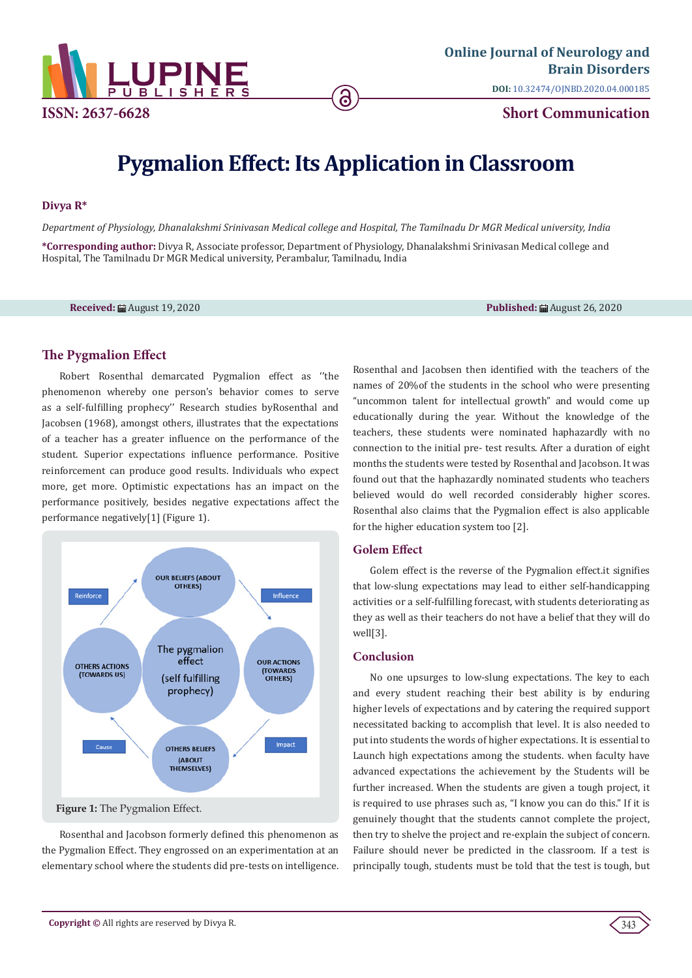

# **Pygmalion Effect: Its Application in Classroom**

6

#### **Divya R\***

*Department of Physiology, Dhanalakshmi Srinivasan Medical college and Hospital, The Tamilnadu Dr MGR Medical university, India* **\*Corresponding author:** Divya R, Associate professor, Department of Physiology, Dhanalakshmi Srinivasan Medical college and Hospital, The Tamilnadu Dr MGR Medical university, Perambalur, Tamilnadu, India

**Received:** August 19, 2020 **Published:** August 26, 2020

## **The Pygmalion Effect**

Robert Rosenthal demarcated Pygmalion effect as ''the phenomenon whereby one person's behavior comes to serve as a self-fulfilling prophecy'' Research studies byRosenthal and Jacobsen (1968), amongst others, illustrates that the expectations of a teacher has a greater influence on the performance of the student. Superior expectations influence performance. Positive reinforcement can produce good results. Individuals who expect more, get more. Optimistic expectations has an impact on the performance positively, besides negative expectations affect the performance negatively[1] (Figure 1).



Rosenthal and Jacobson formerly defined this phenomenon as the Pygmalion Effect. They engrossed on an experimentation at an elementary school where the students did pre-tests on intelligence. Rosenthal and Jacobsen then identified with the teachers of the names of 20%of the students in the school who were presenting "uncommon talent for intellectual growth" and would come up educationally during the year. Without the knowledge of the teachers, these students were nominated haphazardly with no connection to the initial pre- test results. After a duration of eight months the students were tested by Rosenthal and Jacobson. It was found out that the haphazardly nominated students who teachers believed would do well recorded considerably higher scores. Rosenthal also claims that the Pygmalion effect is also applicable for the higher education system too [2].

## **Golem Effect**

Golem effect is the reverse of the Pygmalion effect.it signifies that low-slung expectations may lead to either self-handicapping activities or a self-fulfilling forecast, with students deteriorating as they as well as their teachers do not have a belief that they will do well[3].

## **Conclusion**

No one upsurges to low-slung expectations. The key to each and every student reaching their best ability is by enduring higher levels of expectations and by catering the required support necessitated backing to accomplish that level. It is also needed to put into students the words of higher expectations. It is essential to Launch high expectations among the students. when faculty have advanced expectations the achievement by the Students will be further increased. When the students are given a tough project, it is required to use phrases such as, "I know you can do this." If it is genuinely thought that the students cannot complete the project, then try to shelve the project and re-explain the subject of concern. Failure should never be predicted in the classroom. If a test is principally tough, students must be told that the test is tough, but